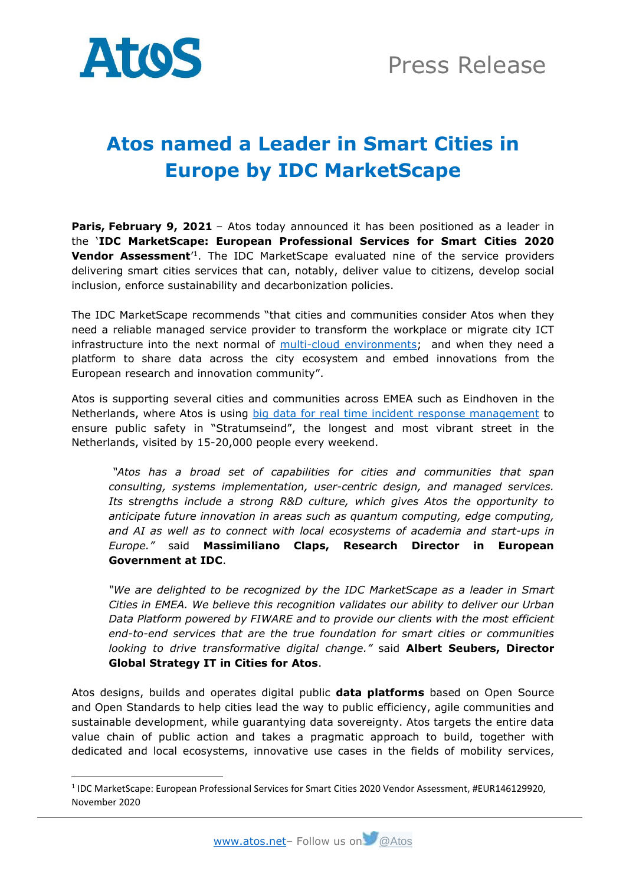

# **Atos named a Leader in Smart Cities in Europe by IDC MarketScape**

**Paris, February 9, 2021** – Atos today announced it has been positioned as a leader in the '**IDC MarketScape: European Professional Services for Smart Cities 2020 Vendor Assessment**<sup>1</sup>. The IDC MarketScape evaluated nine of the service providers delivering smart cities services that can, notably, deliver value to citizens, develop social inclusion, enforce sustainability and decarbonization policies.

The IDC MarketScape recommends "that cities and communities consider Atos when they need a reliable managed service provider to transform the workplace or migrate city ICT infrastructure into the next normal of [multi-cloud environments;](https://atos.net/en/solutions/cloud-solutions/onecloud) and when they need a platform to share data across the city ecosystem and embed innovations from the European research and innovation community".

Atos is supporting several cities and communities across EMEA such as Eindhoven in the Netherlands, where Atos is using [big data for real time incident response management](https://atos.net/en/customer-stories/eindhoven-city-pulse) to ensure public safety in "Stratumseind", the longest and most vibrant street in the Netherlands, visited by 15-20,000 people every weekend.

*"Atos has a broad set of capabilities for cities and communities that span consulting, systems implementation, user-centric design, and managed services. Its* s*trengths include a strong R&D culture, which gives Atos the opportunity to anticipate future innovation in areas such as quantum computing, edge computing, and AI as well as to connect with local ecosystems of academia and start-ups in Europe."* said **Massimiliano Claps, Research Director in European Government at IDC**.

*"We are delighted to be recognized by the IDC MarketScape as a leader in Smart Cities in EMEA. We believe this recognition validates our ability to deliver our Urban Data Platform powered by FIWARE and to provide our clients with the most efficient end-to-end services that are the true foundation for smart cities or communities looking to drive transformative digital change."* said **Albert Seubers, Director Global Strategy IT in Cities for Atos**.

Atos designs, builds and operates digital public **data platforms** based on Open Source and Open Standards to help cities lead the way to public efficiency, agile communities and sustainable development, while guarantying data sovereignty. Atos targets the entire data value chain of public action and takes a pragmatic approach to build, together with dedicated and local ecosystems, innovative use cases in the fields of mobility services,

<sup>&</sup>lt;sup>1</sup> IDC MarketScape: European Professional Services for Smart Cities 2020 Vendor Assessment, #EUR146129920, November 2020